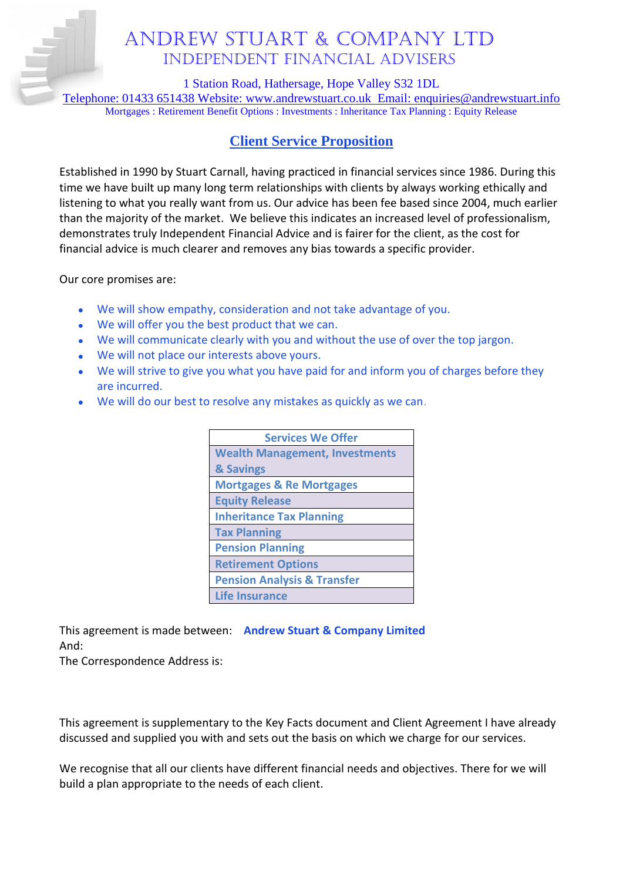# Andrew Stuart & Company Ltd Independent financial advisers

1 Station Road, Hathersage, Hope Valley S32 1DL

Telephone: 01433 651438 Website: [www.andrewstuart.co.uk](http://www.andrewstuart.co.uk/) Email: [enquiries@andrewstuart.info](mailto:enquiries@andrewstuart.info) Mortgages : Retirement Benefit Options : Investments : Inheritance Tax Planning : Equity Release

## **Client Service Proposition**

Established in 1990 by Stuart Carnall, having practiced in financial services since 1986. During this time we have built up many long term relationships with clients by always working ethically and listening to what you really want from us. Our advice has been fee based since 2004, much earlier than the majority of the market. We believe this indicates an increased level of professionalism, demonstrates truly Independent Financial Advice and is fairer for the client, as the cost for financial advice is much clearer and removes any bias towards a specific provider.

Our core promises are:

- We will show empathy, consideration and not take advantage of you.
- We will offer you the best product that we can.
- We will communicate clearly with you and without the use of over the top jargon.
- We will not place our interests above yours.
- We will strive to give you what you have paid for and inform you of charges before they are incurred.
- We will do our best to resolve any mistakes as quickly as we can.

| <b>Services We Offer</b>               |
|----------------------------------------|
| <b>Wealth Management, Investments</b>  |
| & Savings                              |
| <b>Mortgages &amp; Re Mortgages</b>    |
| <b>Equity Release</b>                  |
| <b>Inheritance Tax Planning</b>        |
| <b>Tax Planning</b>                    |
| <b>Pension Planning</b>                |
| <b>Retirement Options</b>              |
| <b>Pension Analysis &amp; Transfer</b> |
| <b>Life Insurance</b>                  |

This agreement is made between: **Andrew Stuart & Company Limited** And:

The Correspondence Address is:

This agreement is supplementary to the Key Facts document and Client Agreement I have already discussed and supplied you with and sets out the basis on which we charge for our services.

We recognise that all our clients have different financial needs and objectives. There for we will build a plan appropriate to the needs of each client.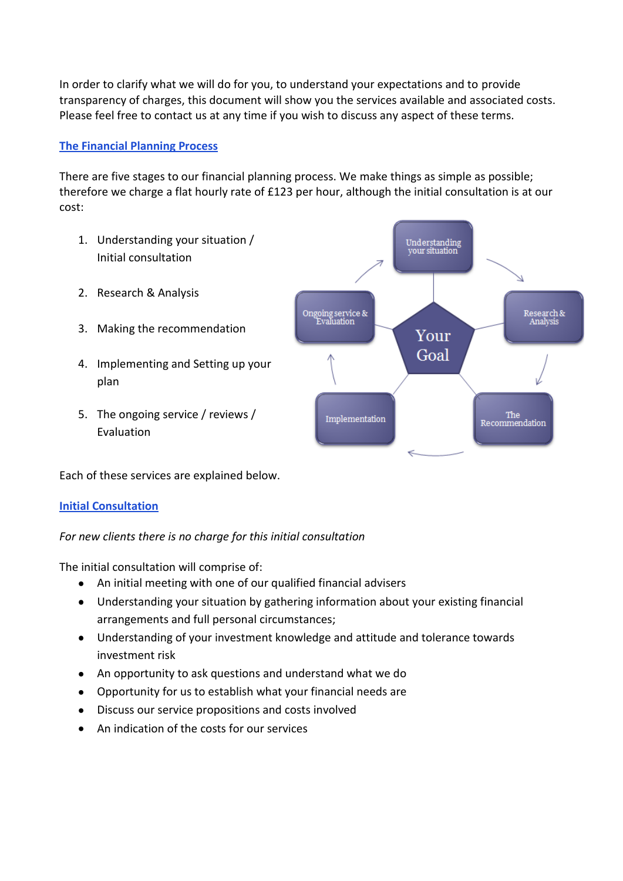In order to clarify what we will do for you, to understand your expectations and to provide transparency of charges, this document will show you the services available and associated costs. Please feel free to contact us at any time if you wish to discuss any aspect of these terms.

## **The Financial Planning Process**

There are five stages to our financial planning process. We make things as simple as possible; therefore we charge a flat hourly rate of £123 per hour, although the initial consultation is at our cost:

- 1. Understanding your situation / Initial consultation
- 2. Research & Analysis
- 3. Making the recommendation
- 4. Implementing and Setting up your plan
- 5. The ongoing service / reviews / Evaluation



Each of these services are explained below.

## **Initial Consultation**

## *For new clients there is no charge for this initial consultation*

The initial consultation will comprise of:

- An initial meeting with one of our qualified financial advisers  $\bullet$
- Understanding your situation by gathering information about your existing financial  $\bullet$ arrangements and full personal circumstances;
- $\bullet$ Understanding of your investment knowledge and attitude and tolerance towards investment risk
- An opportunity to ask questions and understand what we do
- Opportunity for us to establish what your financial needs are  $\bullet$
- Discuss our service propositions and costs involved  $\bullet$
- An indication of the costs for our services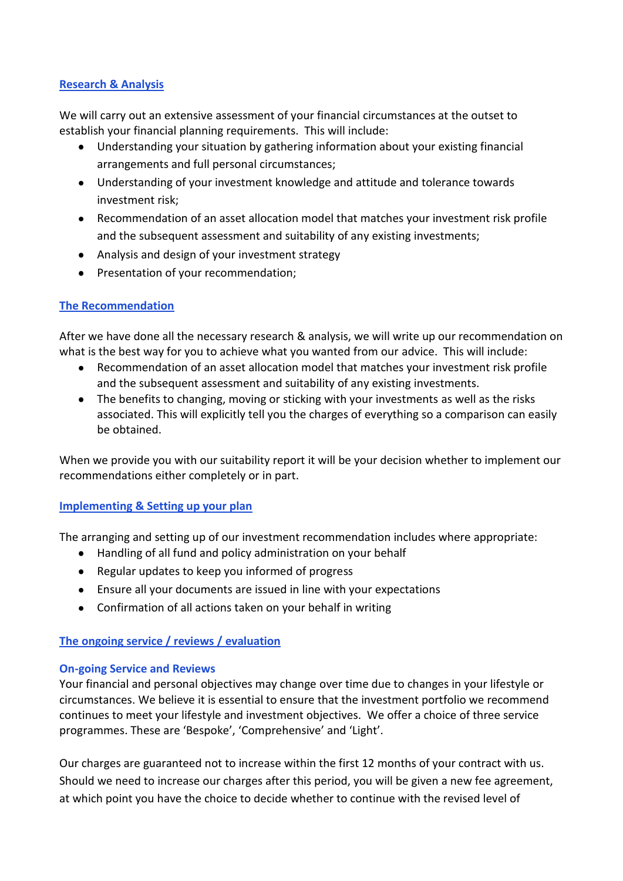## **Research & Analysis**

We will carry out an extensive assessment of your financial circumstances at the outset to establish your financial planning requirements. This will include:

- Understanding your situation by gathering information about your existing financial arrangements and full personal circumstances;
- Understanding of your investment knowledge and attitude and tolerance towards investment risk;
- Recommendation of an asset allocation model that matches your investment risk profile and the subsequent assessment and suitability of any existing investments;
- Analysis and design of your investment strategy
- Presentation of your recommendation;

## **The Recommendation**

After we have done all the necessary research & analysis, we will write up our recommendation on what is the best way for you to achieve what you wanted from our advice. This will include:

- Recommendation of an asset allocation model that matches your investment risk profile  $\bullet$ and the subsequent assessment and suitability of any existing investments.
- The benefits to changing, moving or sticking with your investments as well as the risks associated. This will explicitly tell you the charges of everything so a comparison can easily be obtained.

When we provide you with our suitability report it will be your decision whether to implement our recommendations either completely or in part.

## **Implementing & Setting up your plan**

The arranging and setting up of our investment recommendation includes where appropriate:

- Handling of all fund and policy administration on your behalf
- Regular updates to keep you informed of progress
- Ensure all your documents are issued in line with your expectations
- Confirmation of all actions taken on your behalf in writing

## **The ongoing service / reviews / evaluation**

## **On-going Service and Reviews**

Your financial and personal objectives may change over time due to changes in your lifestyle or circumstances. We believe it is essential to ensure that the investment portfolio we recommend continues to meet your lifestyle and investment objectives. We offer a choice of three service programmes. These are 'Bespoke', 'Comprehensive' and 'Light'.

Our charges are guaranteed not to increase within the first 12 months of your contract with us. Should we need to increase our charges after this period, you will be given a new fee agreement, at which point you have the choice to decide whether to continue with the revised level of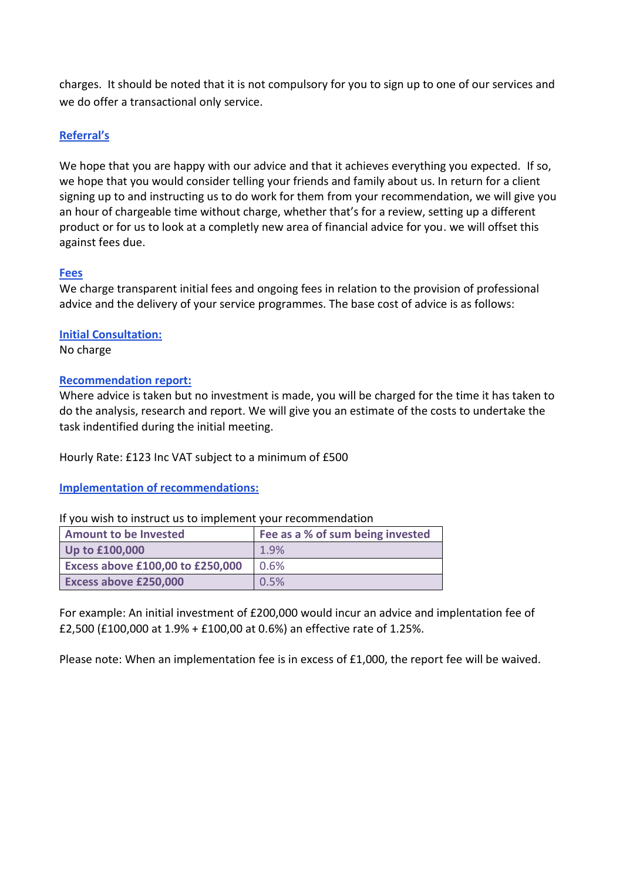charges. It should be noted that it is not compulsory for you to sign up to one of our services and we do offer a transactional only service.

## **Referral's**

We hope that you are happy with our advice and that it achieves everything you expected. If so, we hope that you would consider telling your friends and family about us. In return for a client signing up to and instructing us to do work for them from your recommendation, we will give you an hour of chargeable time without charge, whether that's for a review, setting up a different product or for us to look at a completly new area of financial advice for you. we will offset this against fees due.

## **Fees**

We charge transparent initial fees and ongoing fees in relation to the provision of professional advice and the delivery of your service programmes. The base cost of advice is as follows:

## **Initial Consultation:**

No charge

## **Recommendation report:**

Where advice is taken but no investment is made, you will be charged for the time it has taken to do the analysis, research and report. We will give you an estimate of the costs to undertake the task indentified during the initial meeting.

Hourly Rate: £123 Inc VAT subject to a minimum of £500

**Implementation of recommendations:**

If you wish to instruct us to implement your recommendation

| <b>Amount to be Invested</b>            | Fee as a % of sum being invested |
|-----------------------------------------|----------------------------------|
| Up to $£100,000$                        | 1.9%                             |
| <b>Excess above £100,00 to £250,000</b> | 0.6%                             |
| <b>Excess above £250,000</b>            | 0.5%                             |

For example: An initial investment of £200,000 would incur an advice and implentation fee of £2,500 (£100,000 at 1.9% + £100,00 at 0.6%) an effective rate of 1.25%.

Please note: When an implementation fee is in excess of £1,000, the report fee will be waived.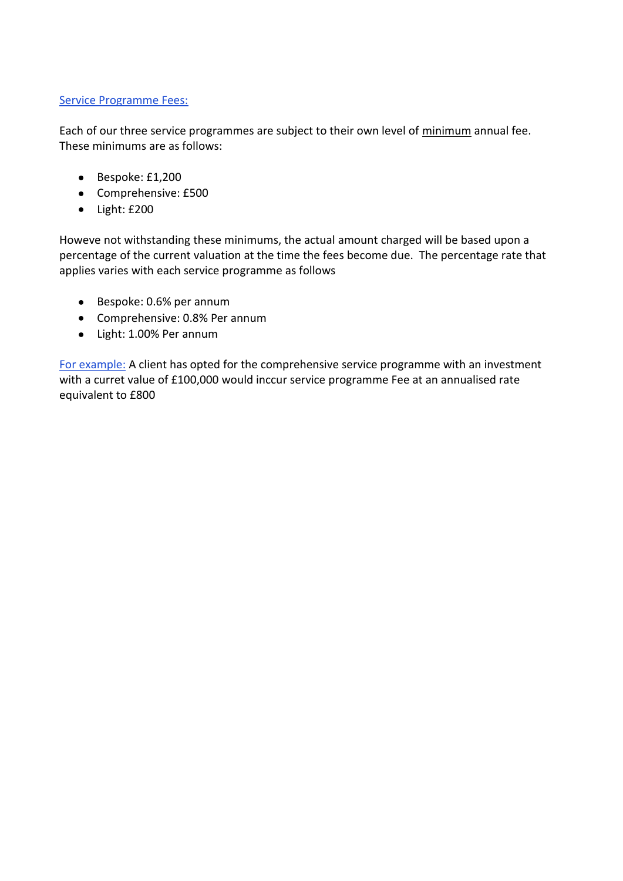## Service Programme Fees:

Each of our three service programmes are subject to their own level of minimum annual fee. These minimums are as follows:

- Bespoke: £1,200
- Comprehensive: £500
- $\bullet$  Light: £200

Howeve not withstanding these minimums, the actual amount charged will be based upon a percentage of the current valuation at the time the fees become due. The percentage rate that applies varies with each service programme as follows

- Bespoke: 0.6% per annum
- Comprehensive: 0.8% Per annum
- Light: 1.00% Per annum

For example: A client has opted for the comprehensive service programme with an investment with a curret value of £100,000 would inccur service programme Fee at an annualised rate equivalent to £800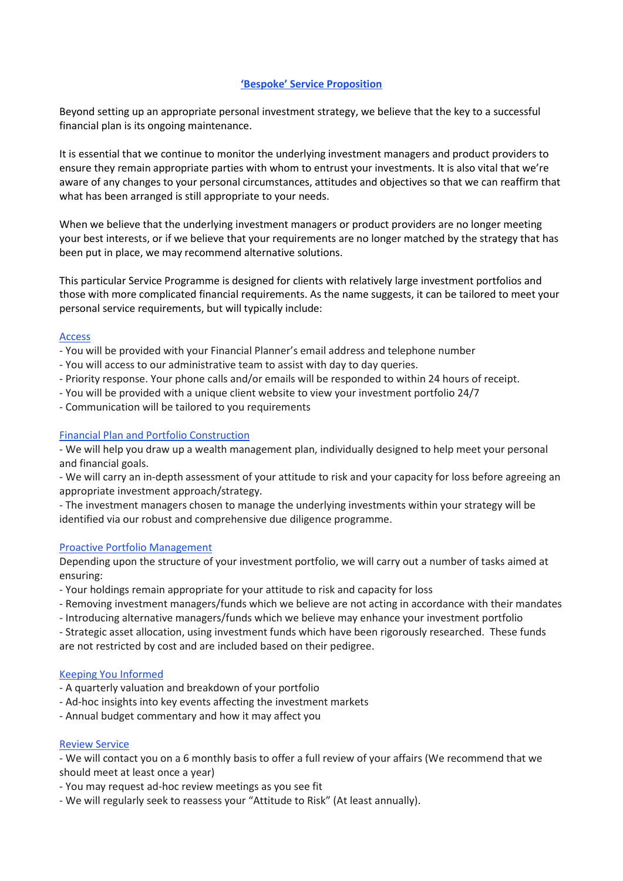#### **'Bespoke' Service Proposition**

Beyond setting up an appropriate personal investment strategy, we believe that the key to a successful financial plan is its ongoing maintenance.

It is essential that we continue to monitor the underlying investment managers and product providers to ensure they remain appropriate parties with whom to entrust your investments. It is also vital that we're aware of any changes to your personal circumstances, attitudes and objectives so that we can reaffirm that what has been arranged is still appropriate to your needs.

When we believe that the underlying investment managers or product providers are no longer meeting your best interests, or if we believe that your requirements are no longer matched by the strategy that has been put in place, we may recommend alternative solutions.

This particular Service Programme is designed for clients with relatively large investment portfolios and those with more complicated financial requirements. As the name suggests, it can be tailored to meet your personal service requirements, but will typically include:

#### **Access**

- You will be provided with your Financial Planner's email address and telephone number
- You will access to our administrative team to assist with day to day queries.
- Priority response. Your phone calls and/or emails will be responded to within 24 hours of receipt.
- You will be provided with a unique client website to view your investment portfolio 24/7
- Communication will be tailored to you requirements

#### Financial Plan and Portfolio Construction

- We will help you draw up a wealth management plan, individually designed to help meet your personal and financial goals.

- We will carry an in-depth assessment of your attitude to risk and your capacity for loss before agreeing an appropriate investment approach/strategy.

- The investment managers chosen to manage the underlying investments within your strategy will be identified via our robust and comprehensive due diligence programme.

#### Proactive Portfolio Management

Depending upon the structure of your investment portfolio, we will carry out a number of tasks aimed at ensuring:

- Your holdings remain appropriate for your attitude to risk and capacity for loss

- Removing investment managers/funds which we believe are not acting in accordance with their mandates

- Introducing alternative managers/funds which we believe may enhance your investment portfolio

- Strategic asset allocation, using investment funds which have been rigorously researched. These funds are not restricted by cost and are included based on their pedigree.

#### Keeping You Informed

- A quarterly valuation and breakdown of your portfolio
- Ad-hoc insights into key events affecting the investment markets
- Annual budget commentary and how it may affect you

#### Review Service

- We will contact you on a 6 monthly basis to offer a full review of your affairs (We recommend that we should meet at least once a year)

- You may request ad-hoc review meetings as you see fit

- We will regularly seek to reassess your "Attitude to Risk" (At least annually).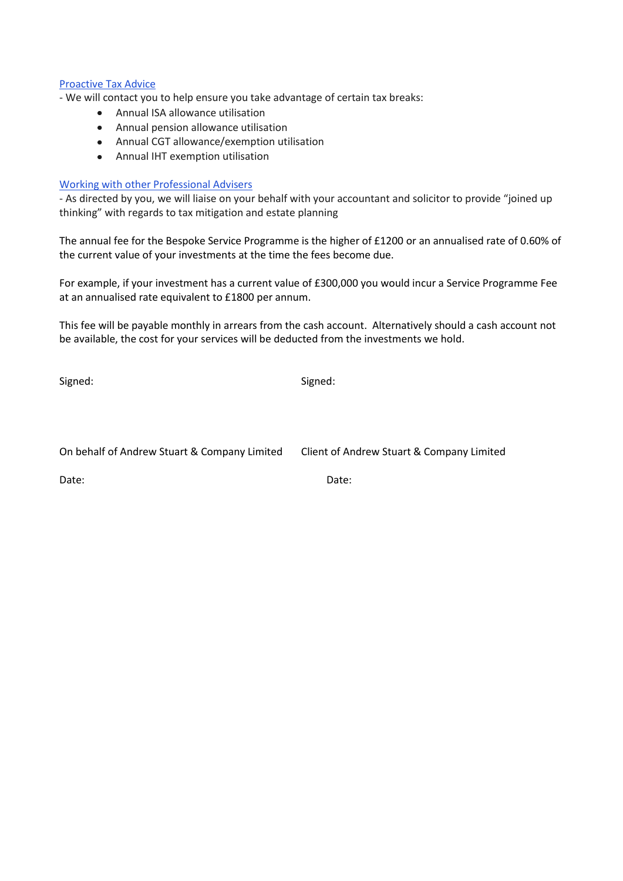#### Proactive Tax Advice

- We will contact you to help ensure you take advantage of certain tax breaks:

- Annual ISA allowance utilisation
- Annual pension allowance utilisation
- Annual CGT allowance/exemption utilisation
- Annual IHT exemption utilisation

#### Working with other Professional Advisers

- As directed by you, we will liaise on your behalf with your accountant and solicitor to provide "joined up thinking" with regards to tax mitigation and estate planning

The annual fee for the Bespoke Service Programme is the higher of £1200 or an annualised rate of 0.60% of the current value of your investments at the time the fees become due.

For example, if your investment has a current value of £300,000 you would incur a Service Programme Fee at an annualised rate equivalent to £1800 per annum.

This fee will be payable monthly in arrears from the cash account. Alternatively should a cash account not be available, the cost for your services will be deducted from the investments we hold.

Signed: Signed:

On behalf of Andrew Stuart & Company Limited Client of Andrew Stuart & Company Limited

Date: **Date:** Date: **Date:** Partnership of the Contract of the Date: **Date:** Partnership of the Date: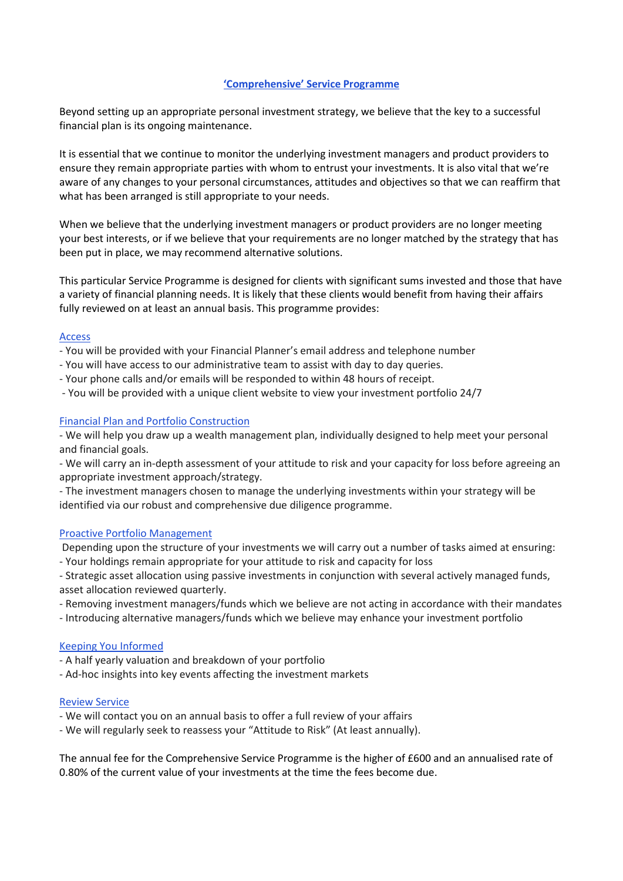#### **'Comprehensive' Service Programme**

Beyond setting up an appropriate personal investment strategy, we believe that the key to a successful financial plan is its ongoing maintenance.

It is essential that we continue to monitor the underlying investment managers and product providers to ensure they remain appropriate parties with whom to entrust your investments. It is also vital that we're aware of any changes to your personal circumstances, attitudes and objectives so that we can reaffirm that what has been arranged is still appropriate to your needs.

When we believe that the underlying investment managers or product providers are no longer meeting your best interests, or if we believe that your requirements are no longer matched by the strategy that has been put in place, we may recommend alternative solutions.

This particular Service Programme is designed for clients with significant sums invested and those that have a variety of financial planning needs. It is likely that these clients would benefit from having their affairs fully reviewed on at least an annual basis. This programme provides:

#### **Access**

- You will be provided with your Financial Planner's email address and telephone number
- You will have access to our administrative team to assist with day to day queries.
- Your phone calls and/or emails will be responded to within 48 hours of receipt.
- You will be provided with a unique client website to view your investment portfolio 24/7

#### Financial Plan and Portfolio Construction

- We will help you draw up a wealth management plan, individually designed to help meet your personal and financial goals.

- We will carry an in-depth assessment of your attitude to risk and your capacity for loss before agreeing an appropriate investment approach/strategy.

- The investment managers chosen to manage the underlying investments within your strategy will be identified via our robust and comprehensive due diligence programme.

#### Proactive Portfolio Management

Depending upon the structure of your investments we will carry out a number of tasks aimed at ensuring: - Your holdings remain appropriate for your attitude to risk and capacity for loss

- Strategic asset allocation using passive investments in conjunction with several actively managed funds, asset allocation reviewed quarterly.

- Removing investment managers/funds which we believe are not acting in accordance with their mandates
- Introducing alternative managers/funds which we believe may enhance your investment portfolio

#### Keeping You Informed

- A half yearly valuation and breakdown of your portfolio
- Ad-hoc insights into key events affecting the investment markets

#### Review Service

- We will contact you on an annual basis to offer a full review of your affairs
- We will regularly seek to reassess your "Attitude to Risk" (At least annually).

The annual fee for the Comprehensive Service Programme is the higher of £600 and an annualised rate of 0.80% of the current value of your investments at the time the fees become due.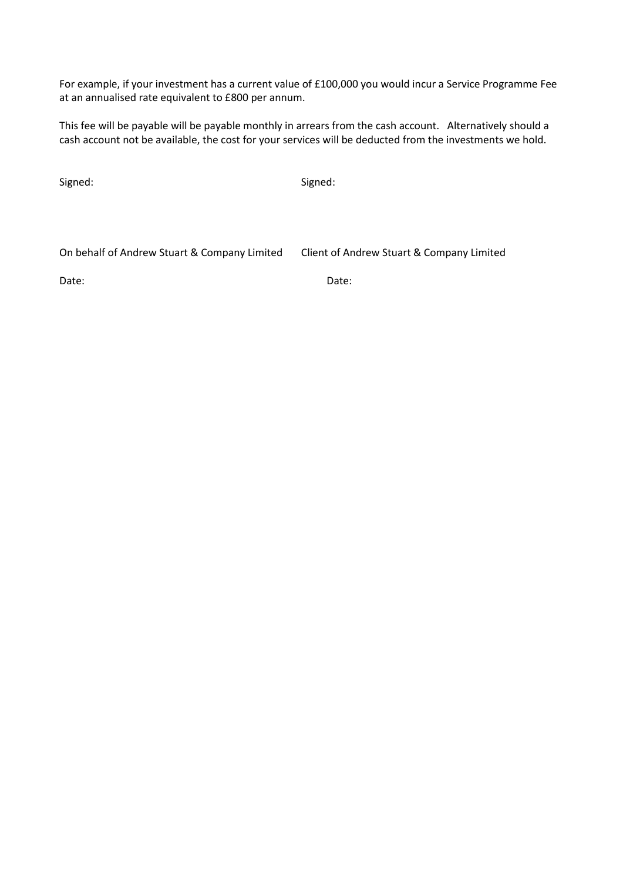For example, if your investment has a current value of £100,000 you would incur a Service Programme Fee at an annualised rate equivalent to £800 per annum.

This fee will be payable will be payable monthly in arrears from the cash account. Alternatively should a cash account not be available, the cost for your services will be deducted from the investments we hold.

Signed: Signed:

On behalf of Andrew Stuart & Company Limited Client of Andrew Stuart & Company Limited

Date: Date: